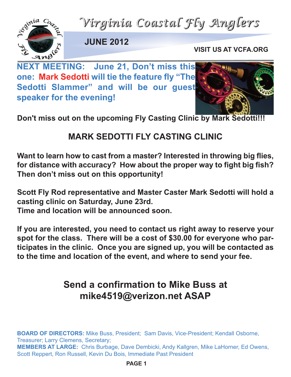



**JUNE 2012**

**VISIT US AT VCFA.ORG**

**NEXT MEETING: June 21, Don't miss this one: Mark Sedotti will tie the feature fly "The Sedotti Slammer" and will be our guest speaker for the evening!** 



**Don't miss out on the upcoming Fly Casting Clinic by Mark Sedotti!!!**

## **MARK SEDOTTI ELY CASTING CLINIC**

**Want to learn how to cast from a master? Interested in throwing big flies, for distance with accuracy? How about the proper way to fight big fish? Then don't miss out on this opportunity!**

**Scott Fly Rod representative and Master Caster Mark Sedotti will hold a casting clinic on Saturday, June 23rd. Time and location will be announced soon.**

**If you are interested, you need to contact us right away to reserve your spot for the class. There will be a cost of \$30.00 for everyone who participates in the clinic. Once you are signed up, you will be contacted as to the time and location of the event, and where to send your fee.**

## **Send a confirmation to Mike Buss at mike4519@verizon.net ASAP**

**BOARD OF DIRECTORS:** Mike Buss, President; Sam Davis, Vice-President; Kendall Osborne, Treasurer; Larry Clemens, Secretary; **MEMBERS AT LARGE:** Chris Burbage, Dave Dembicki, Andy Kallgren, Mike LaHorner, Ed Owens, Scott Reppert, Ron Russell, Kevin Du Bois, Immediate Past President